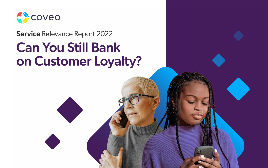

#### Service Relevance Report 2022

# Can You Still Bank on Customer Loyalty?

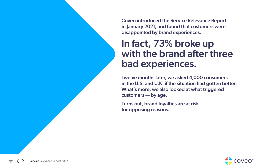Coveo introduced the Service Relevance Report in January 2021, and found that customers were disappointed by brand experiences.

### In fact, 73% broke up with the brand after three bad experiences.

Twelve months later, we asked 4,000 consumers in the U.S. and U.K. if the situation had gotten better. What's more, we also looked at what triggered customers — by age.

Turns out, brand loyalties are at risk for opposing reasons.

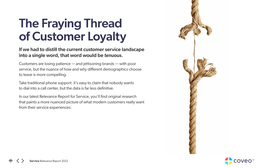# The Fraying Thread of Customer Loyalty

#### If we had to distill the current customer service landscape into a single word, that word would be *tenuous*.

Customers are losing patience — and jettisoning brands — with poor service, but the nuance of how and why different demographics choose to leave is more compelling.

Take traditional phone support: it's easy to claim that nobody wants to dial into a call center, but the data is far less definitive.

In our latest Relevance Report for Service, you'll find original research that paints a more nuanced picture of what modern customers really want from their service experiences.





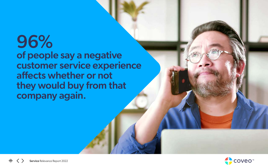## 96% of people say a negative customer service experience affects whether or not they would buy from that company again.



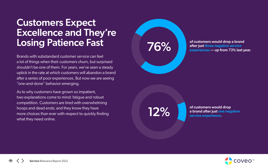### Customers Expect Excellence and They're Losing Patience Fast

Brands with substandard customer service can feel a lot of things when their customers churn, but surprised shouldn't be one of them. For years, we've seen a steady uptick in the rate at which customers will abandon a brand after a series of poor experiences. But now we are seeing "one-and-done" behavior emerging.

As to why customers have grown so impatient, two explanations come to mind: fatigue and robust competition. Customers are tired with overwhelming hoops and dead ends; and they know they have more choices than ever with respect to quickly finding what they need online.

of customers would drop a brand after just three negative service experiences — up from 73% last year.

of customers would drop a brand after just one negative service experience.



## 76%

# 12%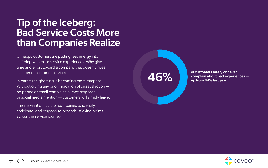### Tip of the Iceberg: Bad Service Costs More than Companies Realize

Unhappy customers are putting less energy into suffering with poor service experiences. Why give time and effort toward a company that doesn't invest in superior customer service?

In particular, ghosting is becoming more rampant. Without giving any prior indication of dissatisfaction no phone or email complaint, survey response, or social media mention — customers will simply leave.

of customers rarely or never 46% up from 44% last year.



This makes it difficult for companies to identify, anticipate, and respond to potential sticking points across the service journey.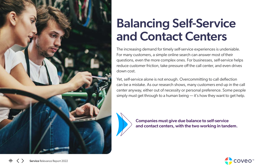

# Balancing Self-Service and Contact Centers

The increasing demand for timely self-service experiences is undeniable. For many customers, a simple online search can answer most of their questions, even the more complex ones. For businesses, self-service helps reduce customer friction, take pressure off the call center, and even drives down cost.

Yet, self-service alone is not enough. Overcommitting to call deflection can be a mistake. As our research shows, many customers end up in the call center anyway, either out of necessity or personal preference. Some people simply must get through to a human being — it's how they want to get help.



Companies must give due balance to self-service and contact centers, with the two working in tandem.

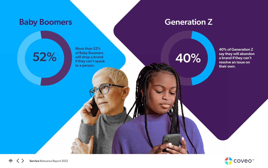#### Baby Boomers Generation Z

40% of Generation Z say they will abandon a brand if they can't resolve an issue on their own.



52% by of Baby Boomers<br>
if they can't speak<br>
if they can't speak<br>
Sample 10% More than 52% of Baby Boomers will drop a brand if they can't speak to a person.

86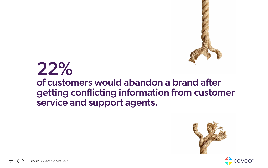# 22% of customers would abandon a brand after getting conflicting information from customer service and support agents.

Service Relevance Report 2022





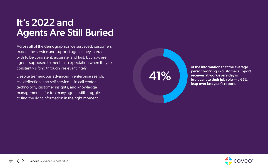## It's 2022 and Agents Are Still Buried

Across all of the demographics we surveyed, customers expect the service and support agents they interact with to be consistent, accurate, and fast. But how are agents supposed to meet this expectation when they're constantly sifting through irrelevant intel?

Despite tremendous advances in enterprise search, call deflection, and self-service — in call center technology, customer insights, and knowledge management — far too many agents still struggle to find the right information in the right moment.

of the information that the average person working in customer support receives at work every day is irrelevant to their job role — a 65% leap over last year's report.



41%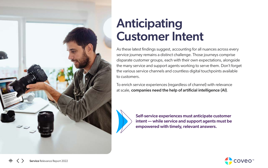

# Anticipating Customer Intent

As these latest findings suggest, accounting for all nuances across every service journey remains a distinct challenge. Those journeys comprise disparate customer groups, each with their own expectations, alongside the many service and support agents working to serve them. Don't forget the various service channels and countless digital touchpoints available to customers.

To enrich service experiences (regardless of channel) with relevance at scale, companies need the help of artificial intelligence (AI).



Self-service experiences must anticipate customer intent — while service and support agents must be empowered with timely, relevant answers.

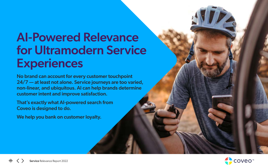# AI-Powered Relevance for Ultramodern Service **Experiences**

No brand can account for every customer touchpoint 24/7 — at least not alone. Service journeys are too varied, non-linear, and ubiquitous. AI can help brands determine customer intent and improve satisfaction.

That's exactly what AI-powered search from Coveo is designed to do.

We help you bank on customer loyalty.



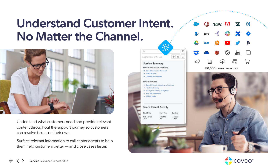# Understand Customer Intent. No Matter the Channel.



Understand what customers need and provide relevant content throughout the support journey so customers can resolve issues on their own.

Surface relevant information to call center agents to help them help customers better — and close cases faster.